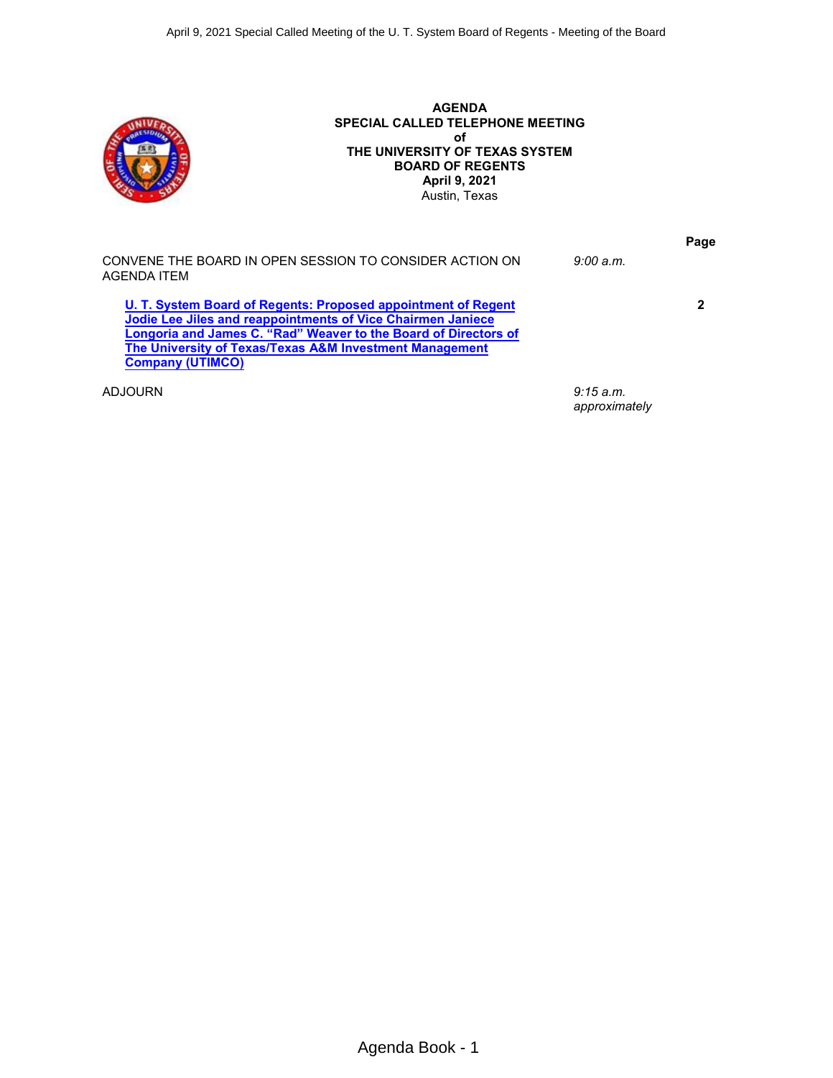

**AGENDA SPECIAL CALLED TELEPHONE MEETING of THE UNIVERSITY OF TEXAS SYSTEM BOARD OF REGENTS April 9, 2021** Austin, Texas

|                                                                                                                                                                                                                                                                                       |           | Page |
|---------------------------------------------------------------------------------------------------------------------------------------------------------------------------------------------------------------------------------------------------------------------------------------|-----------|------|
| CONVENE THE BOARD IN OPEN SESSION TO CONSIDER ACTION ON<br>AGENDA ITEM                                                                                                                                                                                                                | 9:00 a.m. |      |
| U. T. System Board of Regents: Proposed appointment of Regent<br>Jodie Lee Jiles and reappointments of Vice Chairmen Janiece<br>Longoria and James C. "Rad" Weaver to the Board of Directors of<br>The University of Texas/Texas A&M Investment Management<br><b>Company (UTIMCO)</b> |           | 2    |
| ADJOURN                                                                                                                                                                                                                                                                               | 9:15 a.m. |      |

*approximately*